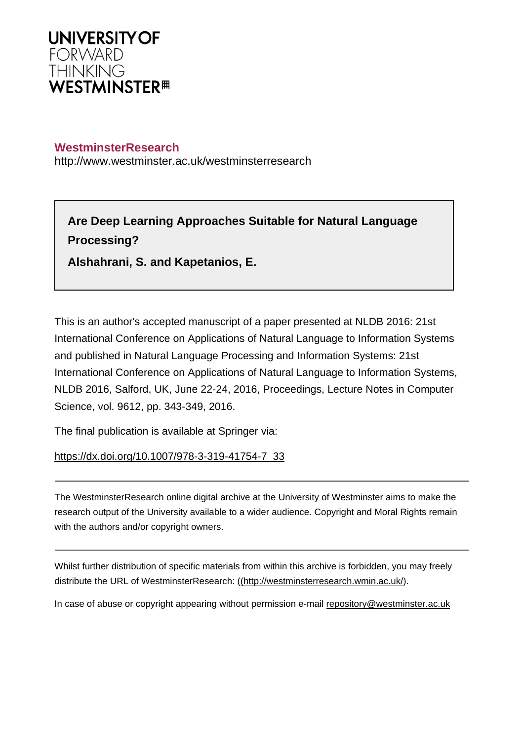

## **WestminsterResearch**

http://www.westminster.ac.uk/westminsterresearch

**Are Deep Learning Approaches Suitable for Natural Language Processing?**

**Alshahrani, S. and Kapetanios, E.**

This is an author's accepted manuscript of a paper presented at NLDB 2016: 21st International Conference on Applications of Natural Language to Information Systems and published in Natural Language Processing and Information Systems: 21st International Conference on Applications of Natural Language to Information Systems, NLDB 2016, Salford, UK, June 22-24, 2016, Proceedings, Lecture Notes in Computer Science, vol. 9612, pp. 343-349, 2016.

The final publication is available at Springer via:

[https://dx.doi.org/10.1007/978-3-319-41754-7\\_33](https://dx.doi.org/10.1007/978-3-319-41754-7_33)

The WestminsterResearch online digital archive at the University of Westminster aims to make the research output of the University available to a wider audience. Copyright and Moral Rights remain with the authors and/or copyright owners.

Whilst further distribution of specific materials from within this archive is forbidden, you may freely distribute the URL of WestminsterResearch: [\(\(http://westminsterresearch.wmin.ac.uk/](http://westminsterresearch.wmin.ac.uk/)).

In case of abuse or copyright appearing without permission e-mail <repository@westminster.ac.uk>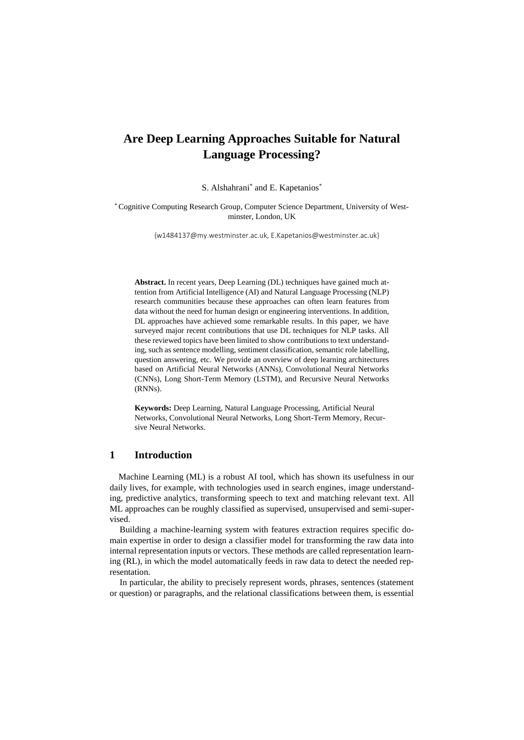# **Are Deep Learning Approaches Suitable for Natural Language Processing?**

S. Alshahrani<sup>\*</sup> and E. Kapetanios<sup>\*</sup>

\* Cognitive Computing Research Group, Computer Science Department, University of Westminster, London, UK

{w1484137@my.westminster.ac.uk, E.Kapetanios@westminster.ac.uk}

**Abstract.** In recent years, Deep Learning (DL) techniques have gained much attention from Artificial Intelligence (AI) and Natural Language Processing (NLP) research communities because these approaches can often learn features from data without the need for human design or engineering interventions. In addition, DL approaches have achieved some remarkable results. In this paper, we have surveyed major recent contributions that use DL techniques for NLP tasks. All these reviewed topics have been limited to show contributions to text understanding, such as sentence modelling, sentiment classification, semantic role labelling, question answering, etc. We provide an overview of deep learning architectures based on Artificial Neural Networks (ANNs), Convolutional Neural Networks (CNNs), Long Short-Term Memory (LSTM), and Recursive Neural Networks (RNNs).

**Keywords:** Deep Learning, Natural Language Processing, Artificial Neural Networks, Convolutional Neural Networks, Long Short-Term Memory, Recursive Neural Networks.

## **1 Introduction**

 Machine Learning (ML) is a robust AI tool, which has shown its usefulness in our daily lives, for example, with technologies used in search engines, image understanding, predictive analytics, transforming speech to text and matching relevant text. All ML approaches can be roughly classified as supervised, unsupervised and semi-supervised.

Building a machine-learning system with features extraction requires specific domain expertise in order to design a classifier model for transforming the raw data into internal representation inputs or vectors. These methods are called representation learning (RL), in which the model automatically feeds in raw data to detect the needed representation.

In particular, the ability to precisely represent words, phrases, sentences (statement or question) or paragraphs, and the relational classifications between them, is essential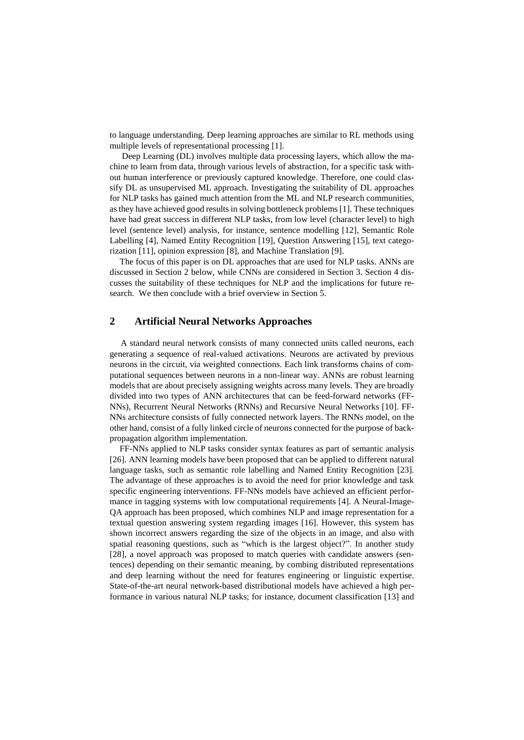to language understanding. Deep learning approaches are similar to RL methods using multiple levels of representational processing [1].

Deep Learning (DL) involves multiple data processing layers, which allow the machine to learn from data, through various levels of abstraction, for a specific task without human interference or previously captured knowledge. Therefore, one could classify DL as unsupervised ML approach. Investigating the suitability of DL approaches for NLP tasks has gained much attention from the ML and NLP research communities, as they have achieved good results in solving bottleneck problems [1]. These techniques have had great success in different NLP tasks, from low level (character level) to high level (sentence level) analysis, for instance, sentence modelling [12], Semantic Role Labelling [4], Named Entity Recognition [19], Question Answering [15], text categorization [11], opinion expression [8], and Machine Translation [9].

The focus of this paper is on DL approaches that are used for NLP tasks. ANNs are discussed in Section 2 below, while CNNs are considered in Section 3. Section 4 discusses the suitability of these techniques for NLP and the implications for future research. We then conclude with a brief overview in Section 5.

## **2 Artificial Neural Networks Approaches**

 A standard neural network consists of many connected units called neurons, each generating a sequence of real-valued activations. Neurons are activated by previous neurons in the circuit, via weighted connections. Each link transforms chains of computational sequences between neurons in a non-linear way. ANNs are robust learning models that are about precisely assigning weights across many levels. They are broadly divided into two types of ANN architectures that can be feed-forward networks (FF-NNs), Recurrent Neural Networks (RNNs) and Recursive Neural Networks [10]. FF-NNs architecture consists of fully connected network layers. The RNNs model, on the other hand, consist of a fully linked circle of neurons connected for the purpose of backpropagation algorithm implementation.

FF-NNs applied to NLP tasks consider syntax features as part of semantic analysis [26]. ANN learning models have been proposed that can be applied to different natural language tasks, such as semantic role labelling and Named Entity Recognition [23]. The advantage of these approaches is to avoid the need for prior knowledge and task specific engineering interventions. FF-NNs models have achieved an efficient performance in tagging systems with low computational requirements [4]. A Neural-Image-QA approach has been proposed, which combines NLP and image representation for a textual question answering system regarding images [16]. However, this system has shown incorrect answers regarding the size of the objects in an image, and also with spatial reasoning questions, such as "which is the largest object?". In another study [28], a novel approach was proposed to match queries with candidate answers (sentences) depending on their semantic meaning, by combing distributed representations and deep learning without the need for features engineering or linguistic expertise. State-of-the-art neural network-based distributional models have achieved a high performance in various natural NLP tasks; for instance, document classification [13] and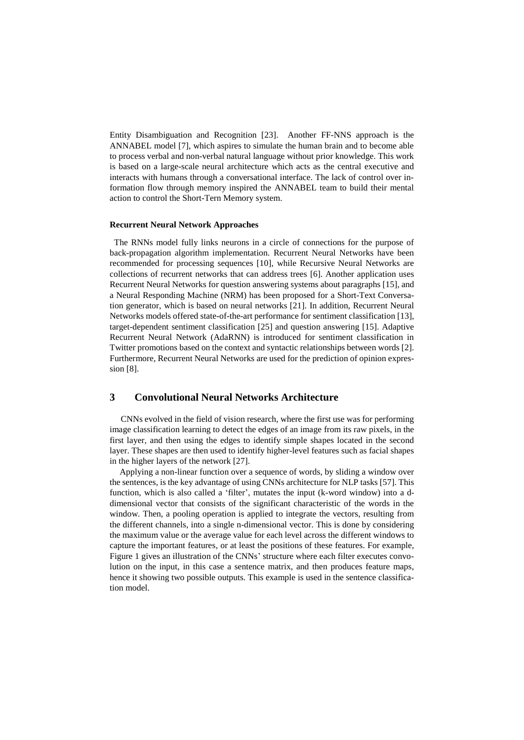Entity Disambiguation and Recognition [23]. Another FF-NNS approach is the ANNABEL model [7], which aspires to simulate the human brain and to become able to process verbal and non-verbal natural language without prior knowledge. This work is based on a large-scale neural architecture which acts as the central executive and interacts with humans through a conversational interface. The lack of control over information flow through memory inspired the ANNABEL team to build their mental action to control the Short-Tern Memory system.

#### **Recurrent Neural Network Approaches**

The RNNs model fully links neurons in a circle of connections for the purpose of back-propagation algorithm implementation. Recurrent Neural Networks have been recommended for processing sequences [10], while Recursive Neural Networks are collections of recurrent networks that can address trees [6]. Another application uses Recurrent Neural Networks for question answering systems about paragraphs [15], and a Neural Responding Machine (NRM) has been proposed for a Short-Text Conversation generator, which is based on neural networks [21]. In addition, Recurrent Neural Networks models offered state-of-the-art performance for sentiment classification [13], target-dependent sentiment classification [25] and question answering [15]. Adaptive Recurrent Neural Network (AdaRNN) is introduced for sentiment classification in Twitter promotions based on the context and syntactic relationships between words [2]. Furthermore, Recurrent Neural Networks are used for the prediction of opinion expression [8].

## **3 Convolutional Neural Networks Architecture**

 CNNs evolved in the field of vision research, where the first use was for performing image classification learning to detect the edges of an image from its raw pixels, in the first layer, and then using the edges to identify simple shapes located in the second layer. These shapes are then used to identify higher-level features such as facial shapes in the higher layers of the network [27].

Applying a non-linear function over a sequence of words, by sliding a window over the sentences, is the key advantage of using CNNs architecture for NLP tasks [57]. This function, which is also called a 'filter', mutates the input (k-word window) into a ddimensional vector that consists of the significant characteristic of the words in the window. Then, a pooling operation is applied to integrate the vectors, resulting from the different channels, into a single n-dimensional vector. This is done by considering the maximum value or the average value for each level across the different windows to capture the important features, or at least the positions of these features. For example, Figure 1 gives an illustration of the CNNs' structure where each filter executes convolution on the input, in this case a sentence matrix, and then produces feature maps, hence it showing two possible outputs. This example is used in the sentence classification model.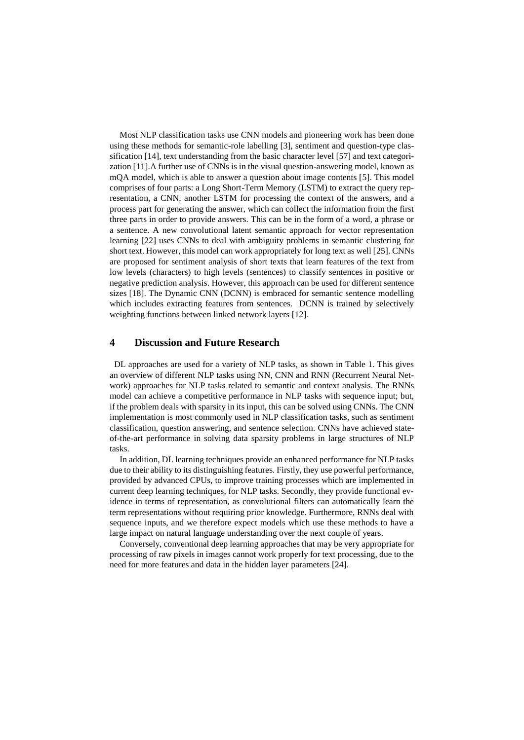Most NLP classification tasks use CNN models and pioneering work has been done using these methods for semantic-role labelling [3], sentiment and question-type classification [14], text understanding from the basic character level [57] and text categorization [11].A further use of CNNs is in the visual question-answering model, known as mQA model, which is able to answer a question about image contents [5]. This model comprises of four parts: a Long Short-Term Memory (LSTM) to extract the query representation, a CNN, another LSTM for processing the context of the answers, and a process part for generating the answer, which can collect the information from the first three parts in order to provide answers. This can be in the form of a word, a phrase or a sentence. A new convolutional latent semantic approach for vector representation learning [22] uses CNNs to deal with ambiguity problems in semantic clustering for short text. However, this model can work appropriately for long text as well [25]. CNNs are proposed for sentiment analysis of short texts that learn features of the text from low levels (characters) to high levels (sentences) to classify sentences in positive or negative prediction analysis. However, this approach can be used for different sentence sizes [18]. The Dynamic CNN (DCNN) is embraced for semantic sentence modelling which includes extracting features from sentences. DCNN is trained by selectively weighting functions between linked network layers [12].

## **4 Discussion and Future Research**

 DL approaches are used for a variety of NLP tasks, as shown in Table 1. This gives an overview of different NLP tasks using NN, CNN and RNN (Recurrent Neural Network) approaches for NLP tasks related to semantic and context analysis. The RNNs model can achieve a competitive performance in NLP tasks with sequence input; but, if the problem deals with sparsity in its input, this can be solved using CNNs. The CNN implementation is most commonly used in NLP classification tasks, such as sentiment classification, question answering, and sentence selection. CNNs have achieved stateof-the-art performance in solving data sparsity problems in large structures of NLP tasks.

In addition, DL learning techniques provide an enhanced performance for NLP tasks due to their ability to its distinguishing features. Firstly, they use powerful performance, provided by advanced CPUs, to improve training processes which are implemented in current deep learning techniques, for NLP tasks. Secondly, they provide functional evidence in terms of representation, as convolutional filters can automatically learn the term representations without requiring prior knowledge. Furthermore, RNNs deal with sequence inputs, and we therefore expect models which use these methods to have a large impact on natural language understanding over the next couple of years.

Conversely, conventional deep learning approaches that may be very appropriate for processing of raw pixels in images cannot work properly for text processing, due to the need for more features and data in the hidden layer parameters [24].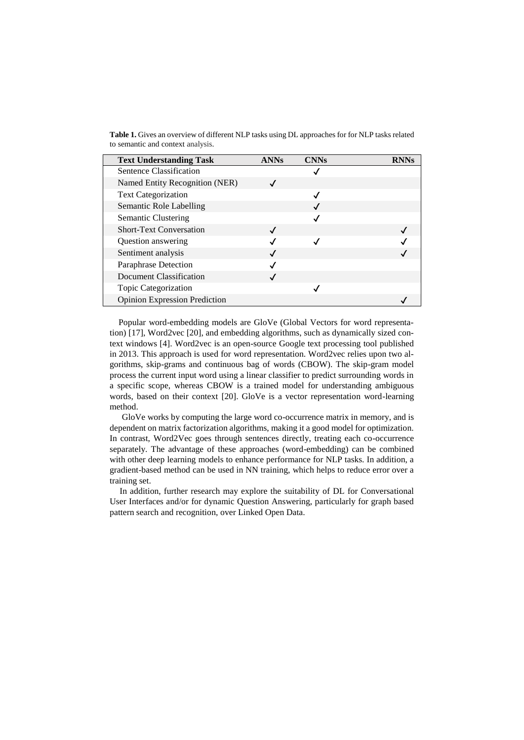| <b>Text Understanding Task</b>       | <b>ANNs</b> | <b>CNNs</b> |  |
|--------------------------------------|-------------|-------------|--|
| Sentence Classification              |             |             |  |
| Named Entity Recognition (NER)       |             |             |  |
| <b>Text Categorization</b>           |             |             |  |
| Semantic Role Labelling              |             |             |  |
| Semantic Clustering                  |             |             |  |
| <b>Short-Text Conversation</b>       |             |             |  |
| Question answering                   |             |             |  |
| Sentiment analysis                   |             |             |  |
| Paraphrase Detection                 |             |             |  |
| <b>Document Classification</b>       |             |             |  |
| Topic Categorization                 |             |             |  |
| <b>Opinion Expression Prediction</b> |             |             |  |

**Table 1.** Gives an overview of different NLP tasks using DL approaches for for NLP tasks related to semantic and context analysis.

 Popular word-embedding models are GloVe (Global Vectors for word representation) [17], Word2vec [20], and embedding algorithms, such as dynamically sized context windows [4]. Word2vec is an open-source Google text processing tool published in 2013. This approach is used for word representation. Word2vec relies upon two algorithms, skip-grams and continuous bag of words (CBOW). The skip-gram model process the current input word using a linear classifier to predict surrounding words in a specific scope, whereas CBOW is a trained model for understanding ambiguous words, based on their context [20]. GloVe is a vector representation word-learning method.

GloVe works by computing the large word co-occurrence matrix in memory, and is dependent on matrix factorization algorithms, making it a good model for optimization. In contrast, Word2Vec goes through sentences directly, treating each co-occurrence separately. The advantage of these approaches (word-embedding) can be combined with other deep learning models to enhance performance for NLP tasks. In addition, a gradient-based method can be used in NN training, which helps to reduce error over a training set.

In addition, further research may explore the suitability of DL for Conversational User Interfaces and/or for dynamic Question Answering, particularly for graph based pattern search and recognition, over Linked Open Data.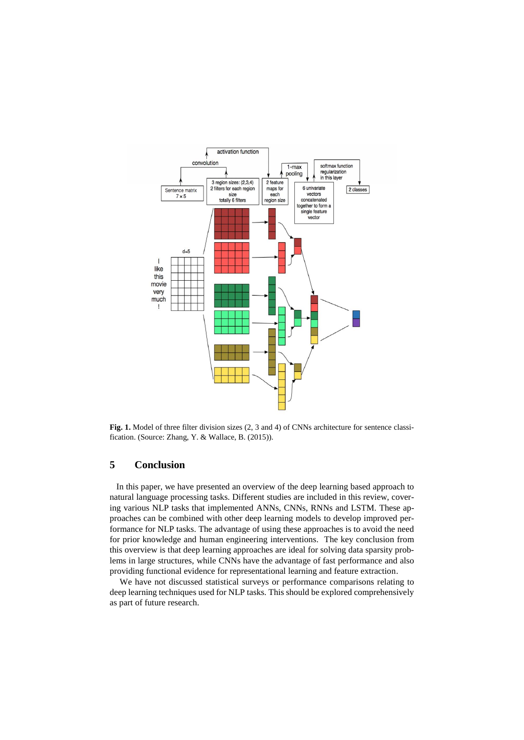

**Fig. 1.** Model of three filter division sizes (2, 3 and 4) of CNNs architecture for sentence classification. (Source: Zhang, Y. & Wallace, B. (2015)).

### **5 Conclusion**

 In this paper, we have presented an overview of the deep learning based approach to natural language processing tasks. Different studies are included in this review, covering various NLP tasks that implemented ANNs, CNNs, RNNs and LSTM. These approaches can be combined with other deep learning models to develop improved performance for NLP tasks. The advantage of using these approaches is to avoid the need for prior knowledge and human engineering interventions. The key conclusion from this overview is that deep learning approaches are ideal for solving data sparsity problems in large structures, while CNNs have the advantage of fast performance and also providing functional evidence for representational learning and feature extraction.

We have not discussed statistical surveys or performance comparisons relating to deep learning techniques used for NLP tasks. This should be explored comprehensively as part of future research.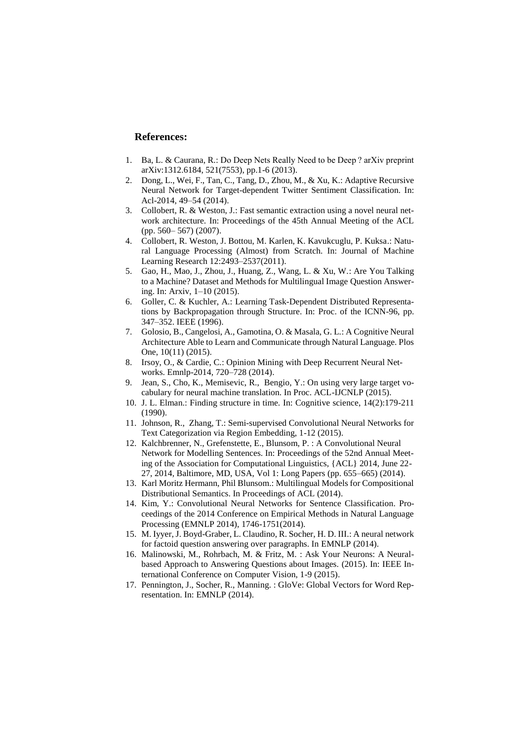## **References:**

- 1. Ba, L. & Caurana, R.: Do Deep Nets Really Need to be Deep ? arXiv preprint arXiv:1312.6184, 521(7553), pp.1-6 (2013).
- 2. Dong, L., Wei, F., Tan, C., Tang, D., Zhou, M., & Xu, K.: Adaptive Recursive Neural Network for Target-dependent Twitter Sentiment Classification. In: Acl-2014, 49–54 (2014).
- 3. Collobert, R. & Weston, J.: Fast semantic extraction using a novel neural network architecture. In: Proceedings of the 45th Annual Meeting of the ACL (pp. 560– 567) (2007).
- 4. Collobert, R. Weston, J. Bottou, M. Karlen, K. Kavukcuglu, P. Kuksa.: Natural Language Processing (Almost) from Scratch. In: Journal of Machine Learning Research 12:2493–2537(2011).
- 5. Gao, H., Mao, J., Zhou, J., Huang, Z., Wang, L. & Xu, W.: Are You Talking to a Machine? Dataset and Methods for Multilingual Image Question Answering. In: Arxiv, 1–10 (2015).
- 6. Goller, C. & Kuchler, A.: Learning Task-Dependent Distributed Representations by Backpropagation through Structure. In: Proc. of the ICNN-96, pp. 347–352. IEEE (1996).
- 7. Golosio, B., Cangelosi, A., Gamotina, O. & Masala, G. L.: A Cognitive Neural Architecture Able to Learn and Communicate through Natural Language. Plos One, 10(11) (2015).
- 8. Irsoy, O., & Cardie, C.: Opinion Mining with Deep Recurrent Neural Networks. Emnlp-2014, 720–728 (2014).
- 9. Jean, S., Cho, K., Memisevic, R., Bengio, Y.: On using very large target vocabulary for neural machine translation. In Proc. ACL-IJCNLP (2015).
- 10. J. L. Elman.: Finding structure in time. In: Cognitive science, 14(2):179-211 (1990).
- 11. Johnson, R., Zhang, T.: Semi-supervised Convolutional Neural Networks for Text Categorization via Region Embedding, 1-12 (2015).
- 12. Kalchbrenner, N., Grefenstette, E., Blunsom, P. : A Convolutional Neural Network for Modelling Sentences. In: Proceedings of the 52nd Annual Meeting of the Association for Computational Linguistics, {ACL} 2014, June 22- 27, 2014, Baltimore, MD, USA, Vol 1: Long Papers (pp. 655–665) (2014).
- 13. Karl Moritz Hermann, Phil Blunsom.: Multilingual Models for Compositional Distributional Semantics. In Proceedings of ACL (2014).
- 14. Kim, Y.: Convolutional Neural Networks for Sentence Classification. Proceedings of the 2014 Conference on Empirical Methods in Natural Language Processing (EMNLP 2014), 1746-1751(2014).
- 15. M. Iyyer, J. Boyd-Graber, L. Claudino, R. Socher, H. D. III.: A neural network for factoid question answering over paragraphs. In EMNLP (2014).
- 16. Malinowski, M., Rohrbach, M. & Fritz, M. : Ask Your Neurons: A Neuralbased Approach to Answering Questions about Images. (2015). In: IEEE International Conference on Computer Vision, 1-9 (2015).
- 17. Pennington, J., Socher, R., Manning. : GloVe: Global Vectors for Word Representation. In: EMNLP (2014).